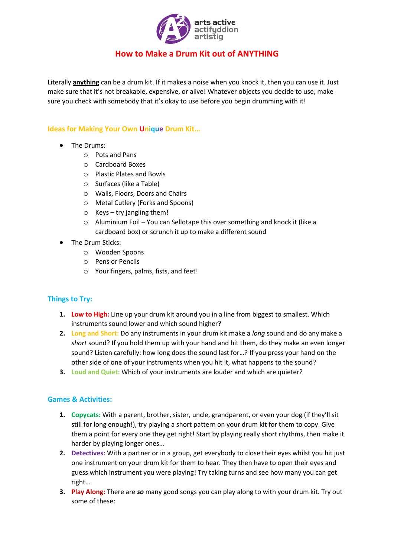

## **How to Make a Drum Kit out of ANYTHING**

Literally **anything** can be a drum kit. If it makes a noise when you knock it, then you can use it. Just make sure that it's not breakable, expensive, or alive! Whatever objects you decide to use, make sure you check with somebody that it's okay to use before you begin drumming with it!

## **Ideas for Making Your Own Unique Drum Kit…**

- The Drums:
	- o Pots and Pans
	- o Cardboard Boxes
	- o Plastic Plates and Bowls
	- o Surfaces (like a Table)
	- o Walls, Floors, Doors and Chairs
	- o Metal Cutlery (Forks and Spoons)
	- $\circ$  Keys try jangling them!
	- o Aluminium Foil You can Sellotape this over something and knock it (like a cardboard box) or scrunch it up to make a different sound
- The Drum Sticks:
	- o Wooden Spoons
	- o Pens or Pencils
	- o Your fingers, palms, fists, and feet!

## **Things to Try:**

- **1. Low to High:** Line up your drum kit around you in a line from biggest to smallest. Which instruments sound lower and which sound higher?
- **2. Long and Short:** Do any instruments in your drum kit make a *long* sound and do any make a *short* sound? If you hold them up with your hand and hit them, do they make an even longer sound? Listen carefully: how long does the sound last for…? If you press your hand on the other side of one of your instruments when you hit it, what happens to the sound?
- **3. Loud and Quiet:** Which of your instruments are louder and which are quieter?

## **Games & Activities:**

- **1. Copycats:** With a parent, brother, sister, uncle, grandparent, or even your dog (if they'll sit still for long enough!), try playing a short pattern on your drum kit for them to copy. Give them a point for every one they get right! Start by playing really short rhythms, then make it harder by playing longer ones…
- **2. Detectives:** With a partner or in a group, get everybody to close their eyes whilst you hit just one instrument on your drum kit for them to hear. They then have to open their eyes and guess which instrument you were playing! Try taking turns and see how many you can get right…
- **3. Play Along:** There are *so* many good songs you can play along to with your drum kit. Try out some of these: